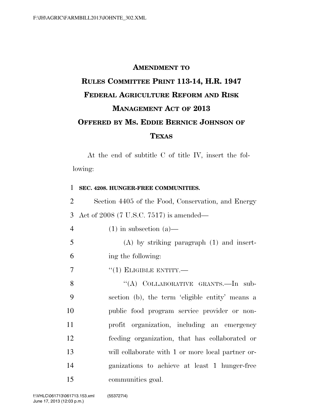## **AMENDMENT TO RULES COMMITTEE PRINT 113-14, H.R. 1947 FEDERAL AGRICULTURE REFORM AND RISK MANAGEMENT ACT OF 2013 OFFERED BY MS. EDDIE BERNICE JOHNSON OF TEXAS**

At the end of subtitle C of title IV, insert the following:

| 1              | SEC. 4208. HUNGER-FREE COMMUNITIES.                |
|----------------|----------------------------------------------------|
| $\overline{2}$ | Section 4405 of the Food, Conservation, and Energy |
| 3              | Act of 2008 (7 U.S.C. 7517) is amended—            |
| $\overline{4}$ | $(1)$ in subsection $(a)$ —                        |
| 5              | $(A)$ by striking paragraph $(1)$ and insert-      |
| 6              | ing the following:                                 |
| 7              | $``(1)$ ELIGIBLE ENTITY.—                          |
| 8              | "(A) COLLABORATIVE GRANTS.-In sub-                 |
| 9              | section (b), the term 'eligible entity' means a    |
| 10             | public food program service provider or non-       |
| 11             | profit organization, including an emergency        |
| 12             | feeding organization, that has collaborated or     |
| 13             | will collaborate with 1 or more local partner or-  |
| 14             | ganizations to achieve at least 1 hunger-free      |
| 15             | communities goal.                                  |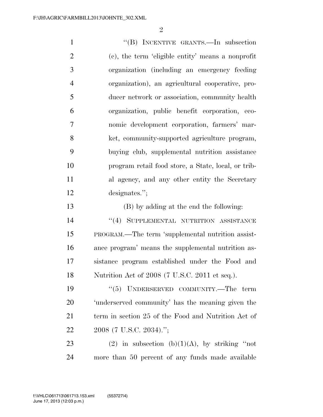1 "'(B) INCENTIVE GRANTS.—In subsection (c), the term 'eligible entity' means a nonprofit organization (including an emergency feeding organization), an agricultural cooperative, pro- ducer network or association, community health organization, public benefit corporation, eco- nomic development corporation, farmers' mar- ket, community-supported agriculture program, buying club, supplemental nutrition assistance program retail food store, a State, local, or trib-11 al agency, and any other entity the Secretary designates.''; (B) by adding at the end the following: **''(4) SUPPLEMENTAL NUTRITION ASSISTANCE**  PROGRAM.—The term 'supplemental nutrition assist- ance program' means the supplemental nutrition as- sistance program established under the Food and Nutrition Act of 2008 (7 U.S.C. 2011 et seq.).  $(5)$  UNDERSERVED COMMUNITY.—The term 'underserved community' has the meaning given the 21 term in section 25 of the Food and Nutrition Act of

2008 (7 U.S.C. 2034).'';

23 (2) in subsection  $(b)(1)(A)$ , by striking "not more than 50 percent of any funds made available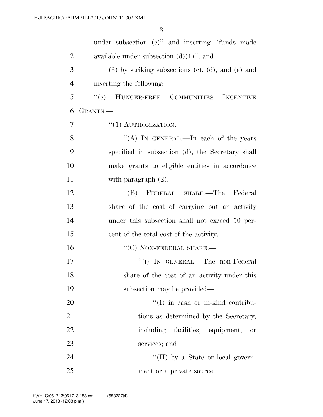| $\mathbf{1}$   | under subsection (e)" and inserting "funds made             |
|----------------|-------------------------------------------------------------|
| $\overline{2}$ | available under subsection $(d)(1)$ "; and                  |
| 3              | $(3)$ by striking subsections $(e)$ , $(d)$ , and $(e)$ and |
| $\overline{4}$ | inserting the following:                                    |
| 5              | "(c) HUNGER-FREE COMMUNITIES INCENTIVE                      |
| 6              | GRANTS.—                                                    |
| $\overline{7}$ | $``(1)$ AUTHORIZATION.—                                     |
| 8              | "(A) IN GENERAL.—In each of the years                       |
| 9              | specified in subsection (d), the Secretary shall            |
| 10             | make grants to eligible entities in accordance              |
| 11             | with paragraph $(2)$ .                                      |
| 12             | "(B) FEDERAL SHARE.—The Federal                             |
| 13             | share of the cost of carrying out an activity               |
| 14             | under this subsection shall not exceed 50 per-              |
| 15             | cent of the total cost of the activity.                     |
| 16             | $``(C)$ NON-FEDERAL SHARE.—                                 |
| 17             | "(i) IN GENERAL.—The non-Federal                            |
| 18             | share of the cost of an activity under this                 |
| 19             | subsection may be provided—                                 |
| 20             | $\lq\lq$ (I) in eash or in-kind contribu-                   |
| 21             | tions as determined by the Secretary,                       |
| 22             | including facilities, equipment, or                         |
| 23             | services; and                                               |
| 24             | "(II) by a State or local govern-                           |
| 25             | ment or a private source.                                   |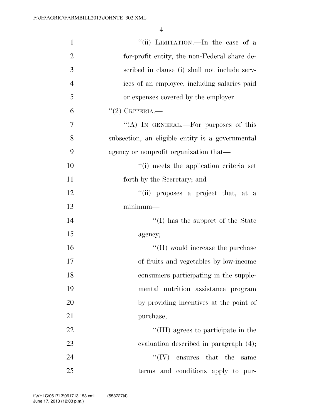| $\mathbf{1}$   | "(ii) LIMITATION.—In the case of a               |
|----------------|--------------------------------------------------|
| $\overline{2}$ | for-profit entity, the non-Federal share de-     |
| 3              | scribed in clause (i) shall not include serv-    |
| $\overline{4}$ | ices of an employee, including salaries paid     |
| 5              | or expenses covered by the employer.             |
| 6              | $(2)$ CRITERIA.                                  |
| 7              | "(A) IN GENERAL.—For purposes of this            |
| 8              | subsection, an eligible entity is a governmental |
| 9              | agency or nonprofit organization that—           |
| 10             | "(i) meets the application criteria set          |
| 11             | forth by the Secretary; and                      |
| 12             | "(ii) proposes a project that, at a              |
| 13             | $minimum-$                                       |
| 14             | "(I) has the support of the State                |
| 15             | agency;                                          |
| 16             | $\lq\lq$ (II) would increase the purchase        |
| 17             | of fruits and vegetables by low-income           |
| 18             | consumers participating in the supple-           |
| 19             | mental nutrition assistance program              |
| 20             | by providing incentives at the point of          |
| 21             | purchase;                                        |
| 22             | "(III) agrees to participate in the              |
| 23             | evaluation described in paragraph (4);           |
| 24             | ``(IV)<br>ensures that the<br>same               |
| 25             | terms and conditions apply to pur-               |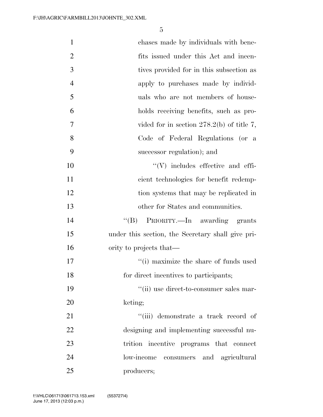| $\mathbf{1}$   | chases made by individuals with bene-             |
|----------------|---------------------------------------------------|
| $\overline{2}$ | fits issued under this Act and incen-             |
| 3              | tives provided for in this subsection as          |
| $\overline{4}$ | apply to purchases made by individ-               |
| 5              | uals who are not members of house-                |
| 6              | holds receiving benefits, such as pro-            |
| 7              | vided for in section $278.2(b)$ of title 7,       |
| 8              | Code of Federal Regulations (or a                 |
| 9              | successor regulation); and                        |
| 10             | $``(V)$ includes effective and effi-              |
| 11             | cient technologies for benefit redemp-            |
| 12             | tion systems that may be replicated in            |
| 13             | other for States and communities.                 |
| 14             | $\lq\lq (B)$<br>PRIORITY.—In awarding grants      |
| 15             | under this section, the Secretary shall give pri- |
| 16             | ority to projects that—                           |
| 17             | "(i) maximize the share of funds used             |
| 18             | for direct incentives to participants;            |
| 19             | "(ii) use direct-to-consumer sales mar-           |
| 20             | keting;                                           |
| 21             | "(iii) demonstrate a track record of              |
| 22             | designing and implementing successful nu-         |
| 23             | trition incentive programs that connect           |
| 24             | low-income<br>consumers and agricultural          |
| 25             | producers;                                        |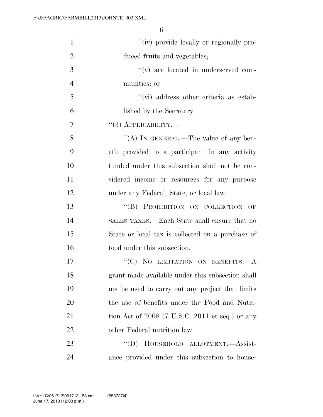| $\mathbf{1}$   | "(iv) provide locally or regionally pro-          |
|----------------|---------------------------------------------------|
| $\overline{2}$ | duced fruits and vegetables;                      |
| 3              | "(v) are located in underserved com-              |
| $\overline{4}$ | munities; or                                      |
| 5              | $\lq\lq$ (vi) address other criteria as estab-    |
| 6              | lished by the Secretary.                          |
| 7              | $``(3)$ APPLICABILITY.—                           |
| 8              | "(A) IN GENERAL.—The value of any ben-            |
| 9              | efit provided to a participant in any activity    |
| 10             | funded under this subsection shall not be con-    |
| 11             | sidered income or resources for any purpose       |
| 12             | under any Federal, State, or local law.           |
| 13             | "(B) PROHIBITION ON COLLECTION OF                 |
| 14             | SALES TAXES.—Each State shall ensure that no      |
| 15             | State or local tax is collected on a purchase of  |
| 16             | food under this subsection.                       |
| 17             | "(C) NO LIMITATION ON BENEFITS.—A                 |
| 18             | grant made available under this subsection shall  |
| 19             | not be used to carry out any project that limits  |
| 20             | the use of benefits under the Food and Nutri-     |
| 21             | tion Act of $2008$ (7 U.S.C. 2011 et seq.) or any |
| 22             | other Federal nutrition law.                      |
| 23             | HOUSEHOLD ALLOTMENT.-Assist-<br>$\lq\lq (D)$      |
| 24             | ance provided under this subsection to house-     |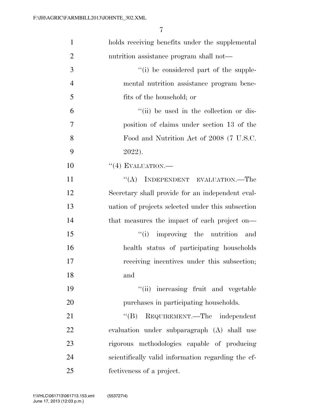| $\mathbf{1}$   | holds receiving benefits under the supplemental    |
|----------------|----------------------------------------------------|
| $\overline{2}$ | nutrition assistance program shall not—            |
| 3              | "(i) be considered part of the supple-             |
| $\overline{4}$ | mental nutrition assistance program bene-          |
| 5              | fits of the household; or                          |
| 6              | "(ii) be used in the collection or dis-            |
| $\overline{7}$ | position of claims under section 13 of the         |
| 8              | Food and Nutrition Act of 2008 (7 U.S.C.           |
| 9              | 2022).                                             |
| 10             | $``(4)$ EVALUATION.—                               |
| 11             | "(A) INDEPENDENT EVALUATION.—The                   |
| 12             | Secretary shall provide for an independent eval-   |
| 13             | uation of projects selected under this subsection  |
| 14             | that measures the impact of each project on—       |
| 15             | improving the nutrition and<br>``(i)               |
| 16             | health status of participating households          |
| 17             | receiving incentives under this subsection;        |
| 18             | and                                                |
| 19             | "(ii) increasing fruit and vegetable               |
| 20             | purchases in participating households.             |
| 21             | "(B) REQUIREMENT.—The independent                  |
| 22             | evaluation under subparagraph (A) shall use        |
| 23             | rigorous methodologies capable of producing        |
| 24             | scientifically valid information regarding the ef- |
| 25             | fectiveness of a project.                          |